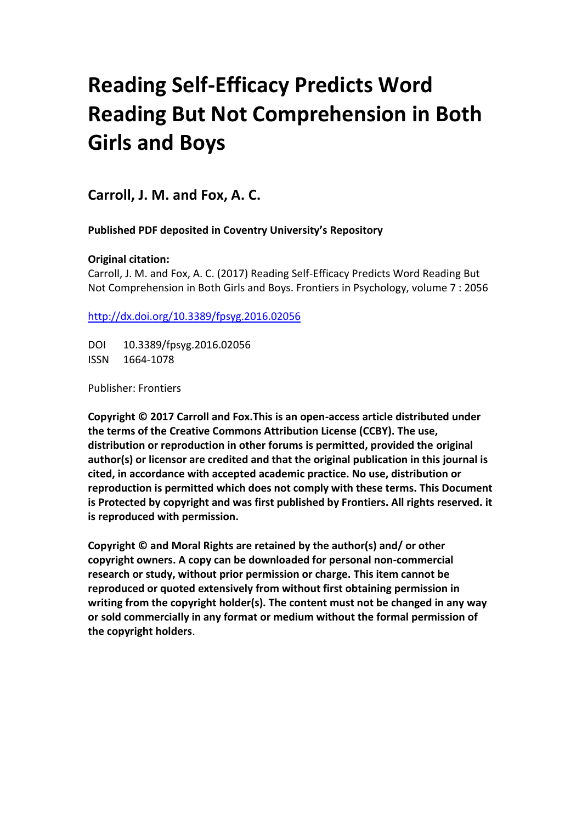# **Reading Self-Efficacy Predicts Word Reading But Not Comprehension in Both Girls and Boys**

**Carroll, J. M. and Fox, A. C.**

**Published PDF deposited in Coventry University's Repository**

## **Original citation:**

Carroll, J. M. and Fox, A. C. (2017) Reading Self-Efficacy Predicts Word Reading But Not Comprehension in Both Girls and Boys. Frontiers in Psychology, volume 7 : 2056

[http://dx.doi.org/1](http://www.inbar.int/sites/default/files/Design%20Guide%20for%20Engineered%20Bahareque%20Housing_0.pdf)0.3389/fpsyg.2016.02056

DOI 10.3389/fpsyg.2016.02056 ISSN 1664-1078

Publisher: Frontiers

**Copyright © 2017 Carroll and Fox.This is an open-access article distributed under the terms of the Creative Commons Attribution License (CCBY). The use, distribution or reproduction in other forums is permitted, provided the original author(s) or licensor are credited and that the original publication in this journal is cited, in accordance with accepted academic practice. No use, distribution or reproduction is permitted which does not comply with these terms. This Document is Protected by copyright and was first published by Frontiers. All rights reserved. it is reproduced with permission.**

**Copyright © and Moral Rights are retained by the author(s) and/ or other copyright owners. A copy can be downloaded for personal non-commercial research or study, without prior permission or charge. This item cannot be reproduced or quoted extensively from without first obtaining permission in writing from the copyright holder(s). The content must not be changed in any way or sold commercially in any format or medium without the formal permission of the copyright holders**.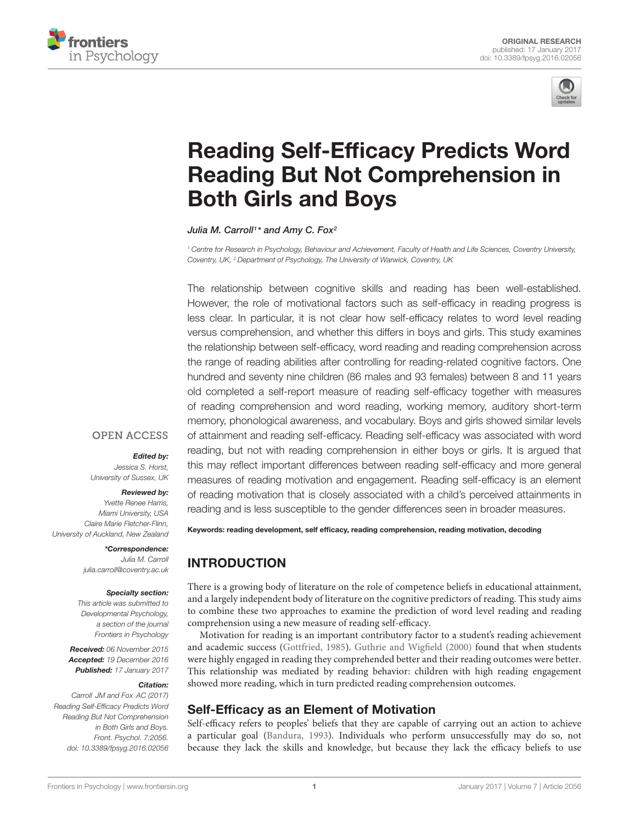



## [Reading Self-Efficacy Predicts Word](http://journal.frontiersin.org/article/10.3389/fpsyg.2016.02056/abstract) Reading But Not Comprehension in Both Girls and Boys

[Julia M. Carroll](http://loop.frontiersin.org/people/248806/overview)1\* and [Amy C. Fox](http://loop.frontiersin.org/people/298916/overview)<sup>2</sup>

<sup>1</sup> Centre for Research in Psychology, Behaviour and Achievement, Faculty of Health and Life Sciences, Coventry University, Coventry, UK, <sup>2</sup> Department of Psychology, The University of Warwick, Coventry, UK

The relationship between cognitive skills and reading has been well-established. However, the role of motivational factors such as self-efficacy in reading progress is less clear. In particular, it is not clear how self-efficacy relates to word level reading versus comprehension, and whether this differs in boys and girls. This study examines the relationship between self-efficacy, word reading and reading comprehension across the range of reading abilities after controlling for reading-related cognitive factors. One hundred and seventy nine children (86 males and 93 females) between 8 and 11 years old completed a self-report measure of reading self-efficacy together with measures of reading comprehension and word reading, working memory, auditory short-term memory, phonological awareness, and vocabulary. Boys and girls showed similar levels of attainment and reading self-efficacy. Reading self-efficacy was associated with word reading, but not with reading comprehension in either boys or girls. It is argued that this may reflect important differences between reading self-efficacy and more general measures of reading motivation and engagement. Reading self-efficacy is an element of reading motivation that is closely associated with a child's perceived attainments in reading and is less susceptible to the gender differences seen in broader measures.

## **OPEN ACCESS**

#### Edited by:

Jessica S. Horst, University of Sussex, UK

#### Reviewed by:

Yvette Renee Harris, Miami University, USA Claire Marie Fletcher-Flinn, University of Auckland, New Zealand

> \*Correspondence: Julia M. Carroll julia.carroll@coventry.ac.uk

#### Specialty section:

This article was submitted to Developmental Psychology, a section of the journal Frontiers in Psychology

Received: 06 November 2015 Accepted: 19 December 2016 Published: 17 January 2017

#### Citation:

Carroll JM and Fox AC (2017) Reading Self-Efficacy Predicts Word Reading But Not Comprehension in Both Girls and Boys. Front. Psychol. 7:2056. doi: [10.3389/fpsyg.2016.02056](https://doi.org/10.3389/fpsyg.2016.02056)

Keywords: reading development, self efficacy, reading comprehension, reading motivation, decoding

## INTRODUCTION

There is a growing body of literature on the role of competence beliefs in educational attainment, and a largely independent body of literature on the cognitive predictors of reading. This study aims to combine these two approaches to examine the prediction of word level reading and reading comprehension using a new measure of reading self-efficacy.

Motivation for reading is an important contributory factor to a student's reading achievement and academic success [\(Gottfried, 1985\)](#page-8-0). [Guthrie and Wigfield](#page-8-1) [\(2000\)](#page-8-1) found that when students were highly engaged in reading they comprehended better and their reading outcomes were better. This relationship was mediated by reading behavior: children with high reading engagement showed more reading, which in turn predicted reading comprehension outcomes.

## Self-Efficacy as an Element of Motivation

Self-efficacy refers to peoples' beliefs that they are capable of carrying out an action to achieve a particular goal [\(Bandura, 1993\)](#page-8-2). Individuals who perform unsuccessfully may do so, not because they lack the skills and knowledge, but because they lack the efficacy beliefs to use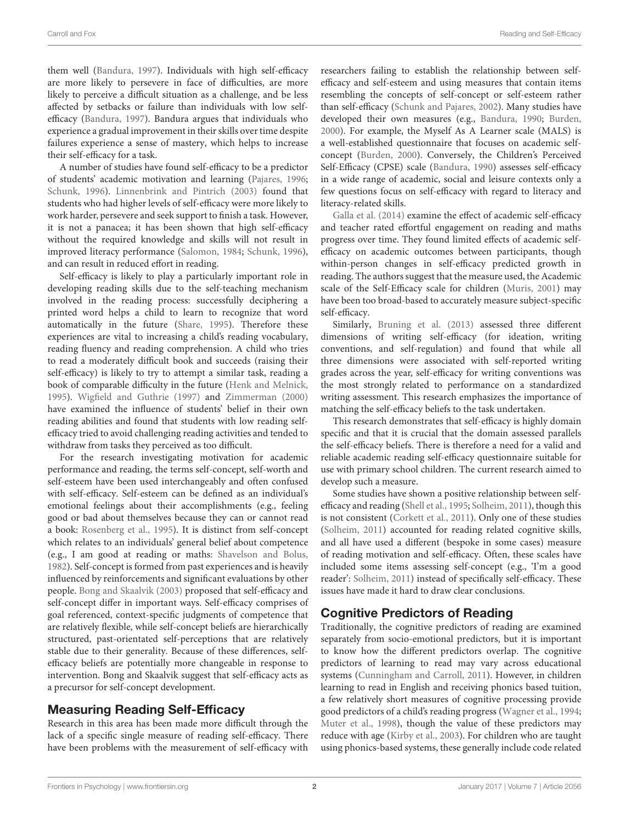them well [\(Bandura,](#page-8-3) [1997\)](#page-8-3). Individuals with high self-efficacy are more likely to persevere in face of difficulties, are more likely to perceive a difficult situation as a challenge, and be less affected by setbacks or failure than individuals with low selfefficacy [\(Bandura,](#page-8-3) [1997\)](#page-8-3). Bandura argues that individuals who experience a gradual improvement in their skills over time despite failures experience a sense of mastery, which helps to increase their self-efficacy for a task.

A number of studies have found self-efficacy to be a predictor of students' academic motivation and learning [\(Pajares,](#page-9-0) [1996;](#page-9-0) [Schunk,](#page-9-1) [1996\)](#page-9-1). [Linnenbrink and Pintrich](#page-8-4) [\(2003\)](#page-8-4) found that students who had higher levels of self-efficacy were more likely to work harder, persevere and seek support to finish a task. However, it is not a panacea; it has been shown that high self-efficacy without the required knowledge and skills will not result in improved literacy performance [\(Salomon,](#page-9-2) [1984;](#page-9-2) [Schunk,](#page-9-1) [1996\)](#page-9-1), and can result in reduced effort in reading.

Self-efficacy is likely to play a particularly important role in developing reading skills due to the self-teaching mechanism involved in the reading process: successfully deciphering a printed word helps a child to learn to recognize that word automatically in the future [\(Share,](#page-9-3) [1995\)](#page-9-3). Therefore these experiences are vital to increasing a child's reading vocabulary, reading fluency and reading comprehension. A child who tries to read a moderately difficult book and succeeds (raising their self-efficacy) is likely to try to attempt a similar task, reading a book of comparable difficulty in the future [\(Henk and Melnick,](#page-8-5) [1995\)](#page-8-5). [Wigfield and Guthrie](#page-9-4) [\(1997\)](#page-9-4) and [Zimmerman](#page-9-5) [\(2000\)](#page-9-5) have examined the influence of students' belief in their own reading abilities and found that students with low reading selfefficacy tried to avoid challenging reading activities and tended to withdraw from tasks they perceived as too difficult.

For the research investigating motivation for academic performance and reading, the terms self-concept, self-worth and self-esteem have been used interchangeably and often confused with self-efficacy. Self-esteem can be defined as an individual's emotional feelings about their accomplishments (e.g., feeling good or bad about themselves because they can or cannot read a book: [Rosenberg et al.,](#page-9-6) [1995\)](#page-9-6). It is distinct from self-concept which relates to an individuals' general belief about competence (e.g., I am good at reading or maths: [Shavelson and Bolus,](#page-9-7) [1982\)](#page-9-7). Self-concept is formed from past experiences and is heavily influenced by reinforcements and significant evaluations by other people. [Bong and Skaalvik](#page-8-6) [\(2003\)](#page-8-6) proposed that self-efficacy and self-concept differ in important ways. Self-efficacy comprises of goal referenced, context-specific judgments of competence that are relatively flexible, while self-concept beliefs are hierarchically structured, past-orientated self-perceptions that are relatively stable due to their generality. Because of these differences, selfefficacy beliefs are potentially more changeable in response to intervention. Bong and Skaalvik suggest that self-efficacy acts as a precursor for self-concept development.

#### Measuring Reading Self-Efficacy

Research in this area has been made more difficult through the lack of a specific single measure of reading self-efficacy. There have been problems with the measurement of self-efficacy with researchers failing to establish the relationship between selfefficacy and self-esteem and using measures that contain items resembling the concepts of self-concept or self-esteem rather than self-efficacy [\(Schunk and Pajares,](#page-9-8) [2002\)](#page-9-8). Many studies have developed their own measures (e.g., [Bandura,](#page-8-7) [1990;](#page-8-7) [Burden,](#page-8-8) [2000\)](#page-8-8). For example, the Myself As A Learner scale (MALS) is a well-established questionnaire that focuses on academic selfconcept [\(Burden,](#page-8-8) [2000\)](#page-8-8). Conversely, the Children's Perceived Self-Efficacy (CPSE) scale [\(Bandura,](#page-8-7) [1990\)](#page-8-7) assesses self-efficacy in a wide range of academic, social and leisure contexts only a few questions focus on self-efficacy with regard to literacy and literacy-related skills.

[Galla et al.](#page-8-9) [\(2014\)](#page-8-9) examine the effect of academic self-efficacy and teacher rated effortful engagement on reading and maths progress over time. They found limited effects of academic selfefficacy on academic outcomes between participants, though within-person changes in self-efficacy predicted growth in reading. The authors suggest that the measure used, the Academic scale of the Self-Efficacy scale for children [\(Muris,](#page-9-9) [2001\)](#page-9-9) may have been too broad-based to accurately measure subject-specific self-efficacy.

Similarly, [Bruning et al.](#page-8-10) [\(2013\)](#page-8-10) assessed three different dimensions of writing self-efficacy (for ideation, writing conventions, and self-regulation) and found that while all three dimensions were associated with self-reported writing grades across the year, self-efficacy for writing conventions was the most strongly related to performance on a standardized writing assessment. This research emphasizes the importance of matching the self-efficacy beliefs to the task undertaken.

This research demonstrates that self-efficacy is highly domain specific and that it is crucial that the domain assessed parallels the self-efficacy beliefs. There is therefore a need for a valid and reliable academic reading self-efficacy questionnaire suitable for use with primary school children. The current research aimed to develop such a measure.

Some studies have shown a positive relationship between selfefficacy and reading [\(Shell et al.,](#page-9-10) [1995;](#page-9-10) [Solheim,](#page-9-11) [2011\)](#page-9-11), though this is not consistent [\(Corkett et al.,](#page-8-11) [2011\)](#page-8-11). Only one of these studies [\(Solheim,](#page-9-11) [2011\)](#page-9-11) accounted for reading related cognitive skills, and all have used a different (bespoke in some cases) measure of reading motivation and self-efficacy. Often, these scales have included some items assessing self-concept (e.g., 'I'm a good reader': [Solheim,](#page-9-11) [2011\)](#page-9-11) instead of specifically self-efficacy. These issues have made it hard to draw clear conclusions.

## Cognitive Predictors of Reading

Traditionally, the cognitive predictors of reading are examined separately from socio-emotional predictors, but it is important to know how the different predictors overlap. The cognitive predictors of learning to read may vary across educational systems [\(Cunningham and Carroll,](#page-8-12) [2011\)](#page-8-12). However, in children learning to read in English and receiving phonics based tuition, a few relatively short measures of cognitive processing provide good predictors of a child's reading progress [\(Wagner et al.,](#page-9-12) [1994;](#page-9-12) [Muter et al.,](#page-9-13) [1998\)](#page-9-13), though the value of these predictors may reduce with age [\(Kirby et al.,](#page-8-13) [2003\)](#page-8-13). For children who are taught using phonics-based systems, these generally include code related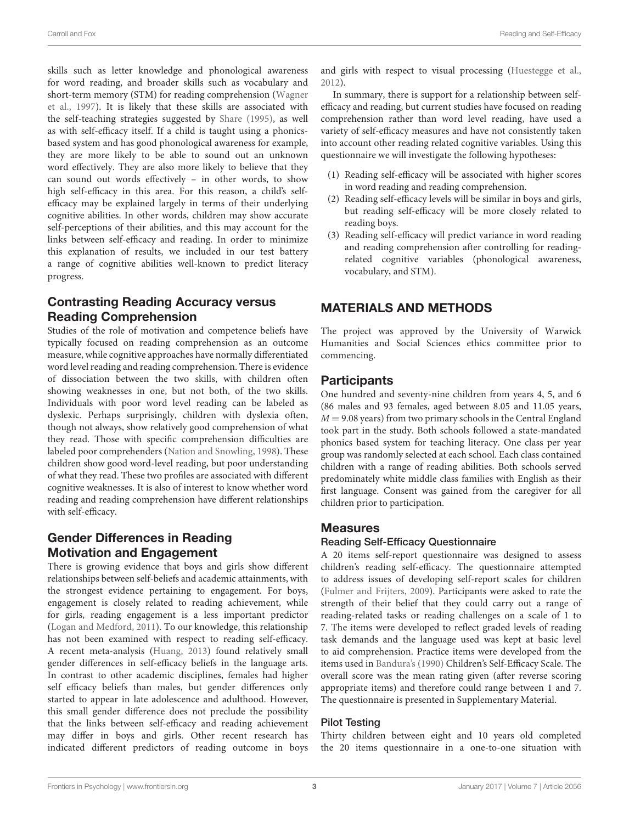skills such as letter knowledge and phonological awareness for word reading, and broader skills such as vocabulary and short-term memory (STM) for reading comprehension [\(Wagner](#page-9-14) [et al.,](#page-9-14) [1997\)](#page-9-14). It is likely that these skills are associated with the self-teaching strategies suggested by [Share](#page-9-3) [\(1995\)](#page-9-3), as well as with self-efficacy itself. If a child is taught using a phonicsbased system and has good phonological awareness for example, they are more likely to be able to sound out an unknown word effectively. They are also more likely to believe that they can sound out words effectively – in other words, to show high self-efficacy in this area. For this reason, a child's selfefficacy may be explained largely in terms of their underlying cognitive abilities. In other words, children may show accurate self-perceptions of their abilities, and this may account for the links between self-efficacy and reading. In order to minimize this explanation of results, we included in our test battery a range of cognitive abilities well-known to predict literacy progress.

## Contrasting Reading Accuracy versus Reading Comprehension

Studies of the role of motivation and competence beliefs have typically focused on reading comprehension as an outcome measure, while cognitive approaches have normally differentiated word level reading and reading comprehension. There is evidence of dissociation between the two skills, with children often showing weaknesses in one, but not both, of the two skills. Individuals with poor word level reading can be labeled as dyslexic. Perhaps surprisingly, children with dyslexia often, though not always, show relatively good comprehension of what they read. Those with specific comprehension difficulties are labeled poor comprehenders [\(Nation and Snowling,](#page-9-15) [1998\)](#page-9-15). These children show good word-level reading, but poor understanding of what they read. These two profiles are associated with different cognitive weaknesses. It is also of interest to know whether word reading and reading comprehension have different relationships with self-efficacy.

## Gender Differences in Reading Motivation and Engagement

There is growing evidence that boys and girls show different relationships between self-beliefs and academic attainments, with the strongest evidence pertaining to engagement. For boys, engagement is closely related to reading achievement, while for girls, reading engagement is a less important predictor [\(Logan and Medford,](#page-8-14) [2011\)](#page-8-14). To our knowledge, this relationship has not been examined with respect to reading self-efficacy. A recent meta-analysis [\(Huang,](#page-8-15) [2013\)](#page-8-15) found relatively small gender differences in self-efficacy beliefs in the language arts. In contrast to other academic disciplines, females had higher self efficacy beliefs than males, but gender differences only started to appear in late adolescence and adulthood. However, this small gender difference does not preclude the possibility that the links between self-efficacy and reading achievement may differ in boys and girls. Other recent research has indicated different predictors of reading outcome in boys

and girls with respect to visual processing [\(Huestegge et al.,](#page-8-16) [2012\)](#page-8-16).

In summary, there is support for a relationship between selfefficacy and reading, but current studies have focused on reading comprehension rather than word level reading, have used a variety of self-efficacy measures and have not consistently taken into account other reading related cognitive variables. Using this questionnaire we will investigate the following hypotheses:

- (1) Reading self-efficacy will be associated with higher scores in word reading and reading comprehension.
- (2) Reading self-efficacy levels will be similar in boys and girls, but reading self-efficacy will be more closely related to reading boys.
- (3) Reading self-efficacy will predict variance in word reading and reading comprehension after controlling for readingrelated cognitive variables (phonological awareness, vocabulary, and STM).

## MATERIALS AND METHODS

The project was approved by the University of Warwick Humanities and Social Sciences ethics committee prior to commencing.

## **Participants**

One hundred and seventy-nine children from years 4, 5, and 6 (86 males and 93 females, aged between 8.05 and 11.05 years,  $M = 9.08$  years) from two primary schools in the Central England took part in the study. Both schools followed a state-mandated phonics based system for teaching literacy. One class per year group was randomly selected at each school. Each class contained children with a range of reading abilities. Both schools served predominately white middle class families with English as their first language. Consent was gained from the caregiver for all children prior to participation.

#### Measures

#### Reading Self-Efficacy Questionnaire

A 20 items self-report questionnaire was designed to assess children's reading self-efficacy. The questionnaire attempted to address issues of developing self-report scales for children [\(Fulmer and Frijters,](#page-8-17) [2009\)](#page-8-17). Participants were asked to rate the strength of their belief that they could carry out a range of reading-related tasks or reading challenges on a scale of 1 to 7. The items were developed to reflect graded levels of reading task demands and the language used was kept at basic level to aid comprehension. Practice items were developed from the items used in [Bandura's](#page-8-7) [\(1990\)](#page-8-7) Children's Self-Efficacy Scale. The overall score was the mean rating given (after reverse scoring appropriate items) and therefore could range between 1 and 7. The questionnaire is presented in Supplementary Material.

#### Pilot Testing

Thirty children between eight and 10 years old completed the 20 items questionnaire in a one-to-one situation with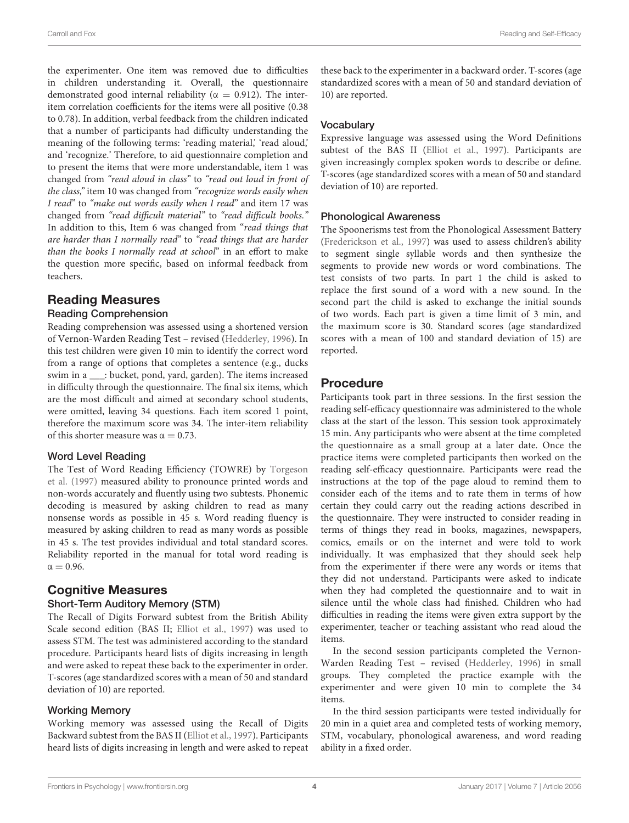the experimenter. One item was removed due to difficulties in children understanding it. Overall, the questionnaire demonstrated good internal reliability ( $\alpha = 0.912$ ). The interitem correlation coefficients for the items were all positive (0.38 to 0.78). In addition, verbal feedback from the children indicated that a number of participants had difficulty understanding the meaning of the following terms: 'reading material,' 'read aloud,' and 'recognize.' Therefore, to aid questionnaire completion and to present the items that were more understandable, item 1 was changed from "read aloud in class" to "read out loud in front of the class," item 10 was changed from "recognize words easily when I read" to "make out words easily when I read" and item 17 was changed from "read difficult material" to "read difficult books." In addition to this, Item 6 was changed from "read things that are harder than I normally read" to "read things that are harder than the books I normally read at school" in an effort to make the question more specific, based on informal feedback from teachers.

## Reading Measures

#### Reading Comprehension

Reading comprehension was assessed using a shortened version of Vernon-Warden Reading Test – revised [\(Hedderley,](#page-8-18) [1996\)](#page-8-18). In this test children were given 10 min to identify the correct word from a range of options that completes a sentence (e.g., ducks swim in a \_\_\_: bucket, pond, yard, garden). The items increased in difficulty through the questionnaire. The final six items, which are the most difficult and aimed at secondary school students, were omitted, leaving 34 questions. Each item scored 1 point, therefore the maximum score was 34. The inter-item reliability of this shorter measure was  $\alpha = 0.73$ .

#### Word Level Reading

The Test of Word Reading Efficiency (TOWRE) by [Torgeson](#page-9-16) [et al.](#page-9-16) [\(1997\)](#page-9-16) measured ability to pronounce printed words and non-words accurately and fluently using two subtests. Phonemic decoding is measured by asking children to read as many nonsense words as possible in 45 s. Word reading fluency is measured by asking children to read as many words as possible in 45 s. The test provides individual and total standard scores. Reliability reported in the manual for total word reading is  $\alpha = 0.96$ .

## Cognitive Measures

#### Short-Term Auditory Memory (STM)

The Recall of Digits Forward subtest from the British Ability Scale second edition (BAS II; [Elliot et al.,](#page-8-19) [1997\)](#page-8-19) was used to assess STM. The test was administered according to the standard procedure. Participants heard lists of digits increasing in length and were asked to repeat these back to the experimenter in order. T-scores (age standardized scores with a mean of 50 and standard deviation of 10) are reported.

#### Working Memory

Working memory was assessed using the Recall of Digits Backward subtest from the BAS II [\(Elliot et al.,](#page-8-19) [1997\)](#page-8-19). Participants heard lists of digits increasing in length and were asked to repeat these back to the experimenter in a backward order. T-scores (age standardized scores with a mean of 50 and standard deviation of 10) are reported.

#### **Vocabulary**

Expressive language was assessed using the Word Definitions subtest of the BAS II [\(Elliot et al.,](#page-8-19) [1997\)](#page-8-19). Participants are given increasingly complex spoken words to describe or define. T-scores (age standardized scores with a mean of 50 and standard deviation of 10) are reported.

#### Phonological Awareness

The Spoonerisms test from the Phonological Assessment Battery [\(Frederickson et al.,](#page-8-20) [1997\)](#page-8-20) was used to assess children's ability to segment single syllable words and then synthesize the segments to provide new words or word combinations. The test consists of two parts. In part 1 the child is asked to replace the first sound of a word with a new sound. In the second part the child is asked to exchange the initial sounds of two words. Each part is given a time limit of 3 min, and the maximum score is 30. Standard scores (age standardized scores with a mean of 100 and standard deviation of 15) are reported.

## Procedure

Participants took part in three sessions. In the first session the reading self-efficacy questionnaire was administered to the whole class at the start of the lesson. This session took approximately 15 min. Any participants who were absent at the time completed the questionnaire as a small group at a later date. Once the practice items were completed participants then worked on the reading self-efficacy questionnaire. Participants were read the instructions at the top of the page aloud to remind them to consider each of the items and to rate them in terms of how certain they could carry out the reading actions described in the questionnaire. They were instructed to consider reading in terms of things they read in books, magazines, newspapers, comics, emails or on the internet and were told to work individually. It was emphasized that they should seek help from the experimenter if there were any words or items that they did not understand. Participants were asked to indicate when they had completed the questionnaire and to wait in silence until the whole class had finished. Children who had difficulties in reading the items were given extra support by the experimenter, teacher or teaching assistant who read aloud the items.

In the second session participants completed the Vernon-Warden Reading Test – revised [\(Hedderley,](#page-8-18) [1996\)](#page-8-18) in small groups. They completed the practice example with the experimenter and were given 10 min to complete the 34 items.

In the third session participants were tested individually for 20 min in a quiet area and completed tests of working memory, STM, vocabulary, phonological awareness, and word reading ability in a fixed order.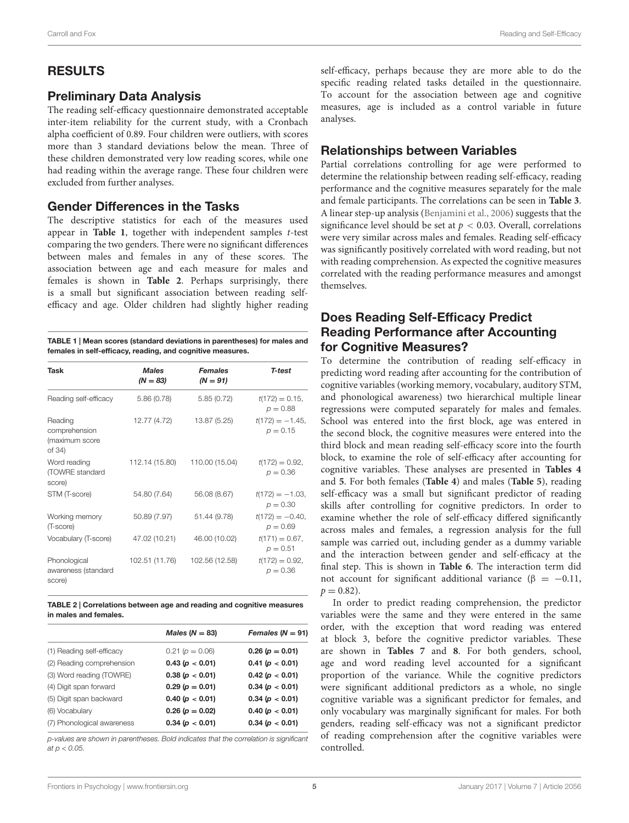#### Carroll and Fox Reading and Self-Efficacy

## RESULTS

## Preliminary Data Analysis

The reading self-efficacy questionnaire demonstrated acceptable inter-item reliability for the current study, with a Cronbach alpha coefficient of 0.89. Four children were outliers, with scores more than 3 standard deviations below the mean. Three of these children demonstrated very low reading scores, while one had reading within the average range. These four children were excluded from further analyses.

## Gender Differences in the Tasks

The descriptive statistics for each of the measures used appear in **[Table 1](#page-5-0)**, together with independent samples t-test comparing the two genders. There were no significant differences between males and females in any of these scores. The association between age and each measure for males and females is shown in **[Table 2](#page-5-1)**. Perhaps surprisingly, there is a small but significant association between reading selfefficacy and age. Older children had slightly higher reading

<span id="page-5-0"></span>

| TABLE 1   Mean scores (standard deviations in parentheses) for males and |
|--------------------------------------------------------------------------|
| females in self-efficacy, reading, and cognitive measures.               |

| Task                                                 | <b>Males</b><br>$(N = 83)$ |                | T-test                           |
|------------------------------------------------------|----------------------------|----------------|----------------------------------|
| Reading self-efficacy                                | 5.86(0.78)                 | 5.85(0.72)     | $t(172) = 0.15$ ,<br>$p = 0.88$  |
| Reading<br>comprehension<br>(maximum score<br>of 34) | 12.77 (4.72)               | 13.87 (5.25)   | $t(172) = -1.45$<br>$p = 0.15$   |
| Word reading<br>(TOWRE standard<br>score)            | 112.14 (15.80)             | 110.00 (15.04) | $t(172) = 0.92$<br>$p = 0.36$    |
| STM (T-score)                                        | 54.80 (7.64)               | 56.08 (8.67)   | $t(172) = -1.03$ ,<br>$p = 0.30$ |
| Working memory<br>(T-score)                          | 50.89 (7.97)               | 51.44 (9.78)   | $t(172) = -0.40$ ,<br>$p = 0.69$ |
| Vocabulary (T-score)                                 | 47.02 (10.21)              | 46.00 (10.02)  | $t(171) = 0.67$ ,<br>$p = 0.51$  |
| Phonological<br>awareness (standard<br>score)        | 102.51 (11.76)             | 102.56 (12.58) | $t(172) = 0.92$ ,<br>$p = 0.36$  |

<span id="page-5-1"></span>TABLE 2 | Correlations between age and reading and cognitive measures in males and females.

|                            | Males ( $N = 83$ ) | Females $(N = 91)$ |
|----------------------------|--------------------|--------------------|
| (1) Reading self-efficacy  | $0.21(p = 0.06)$   | $0.26(p = 0.01)$   |
| (2) Reading comprehension  | 0.43(p < 0.01)     | 0.41 (p < 0.01)    |
| (3) Word reading (TOWRE)   | 0.38(p < 0.01)     | 0.42(p < 0.01)     |
| (4) Digit span forward     | $0.29(p = 0.01)$   | 0.34(p < 0.01)     |
| (5) Digit span backward    | 0.40 (p < 0.01)    | 0.34(p < 0.01)     |
| (6) Vocabulary             | $0.26(p = 0.02)$   | 0.40(p < 0.01)     |
| (7) Phonological awareness | 0.34(p < 0.01)     | 0.34(p < 0.01)     |
|                            |                    |                    |

p-values are shown in parentheses. Bold indicates that the correlation is significant at  $p < 0.05$ .

self-efficacy, perhaps because they are more able to do the specific reading related tasks detailed in the questionnaire. To account for the association between age and cognitive measures, age is included as a control variable in future analyses.

## Relationships between Variables

Partial correlations controlling for age were performed to determine the relationship between reading self-efficacy, reading performance and the cognitive measures separately for the male and female participants. The correlations can be seen in **[Table 3](#page-6-0)**. A linear step-up analysis [\(Benjamini et al.,](#page-8-21) [2006\)](#page-8-21) suggests that the significance level should be set at  $p < 0.03$ . Overall, correlations were very similar across males and females. Reading self-efficacy was significantly positively correlated with word reading, but not with reading comprehension. As expected the cognitive measures correlated with the reading performance measures and amongst themselves.

## Does Reading Self-Efficacy Predict Reading Performance after Accounting for Cognitive Measures?

To determine the contribution of reading self-efficacy in predicting word reading after accounting for the contribution of cognitive variables (working memory, vocabulary, auditory STM, and phonological awareness) two hierarchical multiple linear regressions were computed separately for males and females. School was entered into the first block, age was entered in the second block, the cognitive measures were entered into the third block and mean reading self-efficacy score into the fourth block, to examine the role of self-efficacy after accounting for cognitive variables. These analyses are presented in **[Tables 4](#page-6-1)** and **[5](#page-6-2)**. For both females (**[Table 4](#page-6-1)**) and males (**[Table 5](#page-6-2)**), reading self-efficacy was a small but significant predictor of reading skills after controlling for cognitive predictors. In order to examine whether the role of self-efficacy differed significantly across males and females, a regression analysis for the full sample was carried out, including gender as a dummy variable and the interaction between gender and self-efficacy at the final step. This is shown in **[Table 6](#page-7-0)**. The interaction term did not account for significant additional variance ( $\beta = -0.11$ ,  $p = 0.82$ ).

In order to predict reading comprehension, the predictor variables were the same and they were entered in the same order, with the exception that word reading was entered at block 3, before the cognitive predictor variables. These are shown in **[Tables 7](#page-7-1)** and **[8](#page-7-2)**. For both genders, school, age and word reading level accounted for a significant proportion of the variance. While the cognitive predictors were significant additional predictors as a whole, no single cognitive variable was a significant predictor for females, and only vocabulary was marginally significant for males. For both genders, reading self-efficacy was not a significant predictor of reading comprehension after the cognitive variables were controlled.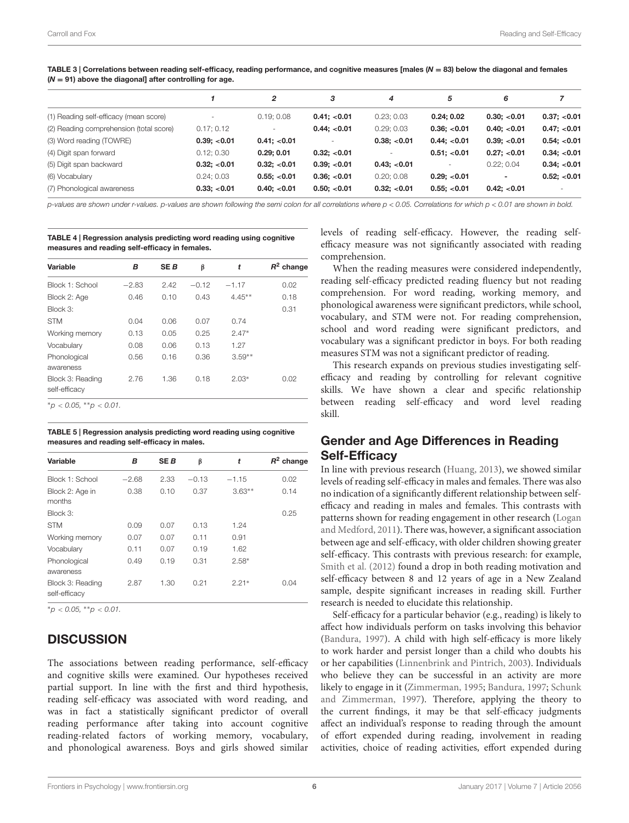|                                         |              | 2            | з            | 4                        | 5            | 6              |              |
|-----------------------------------------|--------------|--------------|--------------|--------------------------|--------------|----------------|--------------|
| (1) Reading self-efficacy (mean score)  |              | 0.19; 0.08   | 0.41; < 0.01 | 0.23; 0.03               | 0.24:0.02    | 0.30: < 0.01   | 0.37; < 0.01 |
| (2) Reading comprehension (total score) | 0.17; 0.12   |              | 0.44; < 0.01 | 0.29:0.03                | 0.36; < 0.01 | 0.40: < 0.01   | 0.47; < 0.01 |
| (3) Word reading (TOWRE)                | 0.39; < 0.01 | 0.41; < 0.01 |              | 0.38; < 0.01             | 0.44; < 0.01 | 0.39; < 0.01   | 0.54; < 0.01 |
| (4) Digit span forward                  | 0.12; 0.30   | 0.29:0.01    | 0.32; < 0.01 | $\overline{\phantom{a}}$ | 0.51; < 0.01 | 0.27; < 0.01   | 0.34; < 0.01 |
| (5) Digit span backward                 | 0.32; < 0.01 | 0.32; < 0.01 | 0.39; < 0.01 | 0.43; < 0.01             | $\sim$       | 0.22; 0.04     | 0.34; < 0.01 |
| (6) Vocabulary                          | 0.24; 0.03   | 0.55: < 0.01 | 0.36; < 0.01 | 0.20:0.08                | 0.29; < 0.01 | $\blacksquare$ | 0.52; < 0.01 |
| (7) Phonological awareness              | 0.33; < 0.01 | 0.40; < 0.01 | 0.50; < 0.01 | 0.32: < 0.01             | 0.55; < 0.01 | 0.42; < 0.01   |              |

<span id="page-6-0"></span>TABLE 3 | Correlations between reading self-efficacy, reading performance, and cognitive measures [males  $(N = 83)$  below the diagonal and females  $(N = 91)$  above the diagonal] after controlling for age.

p-values are shown under r-values. p-values are shown following the semi colon for all correlations where p < 0.05. Correlations for which p < 0.01 are shown in bold.

<span id="page-6-1"></span>TABLE 4 | Regression analysis predicting word reading using cognitive measures and reading self-efficacy in females.

| Variable                          | в       | <b>SEB</b> | β       | t        | $R^2$ change |
|-----------------------------------|---------|------------|---------|----------|--------------|
| Block 1: School                   | $-2.83$ | 2.42       | $-0.12$ | $-1.17$  | 0.02         |
| Block 2: Age                      | 0.46    | 0.10       | 0.43    | $4.45**$ | 0.18         |
| Block 3:                          |         |            |         |          | 0.31         |
| <b>STM</b>                        | 0.04    | 0.06       | 0.07    | 0.74     |              |
| Working memory                    | 0.13    | 0.05       | 0.25    | $2.47*$  |              |
| Vocabulary                        | 0.08    | 0.06       | 0.13    | 1.27     |              |
| Phonological<br>awareness         | 0.56    | 0.16       | 0.36    | $3.59**$ |              |
| Block 3: Reading<br>self-efficacy | 2.76    | 1.36       | 0.18    | $2.03*$  | 0.02         |
| $*_{n}$ > 0.05 $**_{n}$ > 0.01    |         |            |         |          |              |

<sup>∗</sup>p < 0.05, ∗∗p < 0.01.

<span id="page-6-2"></span>TABLE 5 | Regression analysis predicting word reading using cognitive measures and reading self-efficacy in males.

| B       | <b>SEB</b> | β       | t        | $R^2$ change |
|---------|------------|---------|----------|--------------|
| $-2.68$ | 2.33       | $-0.13$ | $-1.15$  | 0.02         |
| 0.38    | 0.10       | 0.37    | $3.63**$ | 0.14         |
|         |            |         |          | 0.25         |
| 0.09    | 0.07       | 0.13    | 1.24     |              |
| 0.07    | 0.07       | 0.11    | 0.91     |              |
| 0.11    | 0.07       | 0.19    | 1.62     |              |
| 0.49    | 0.19       | 0.31    | $2.58*$  |              |
| 2.87    | 1.30       | 0.21    | $2.21*$  | 0.04         |
|         |            |         |          |              |

 $*_{\mathcal{D}}$  < 0.05,  $*_{\mathcal{D}}$  < 0.01.

## **DISCUSSION**

The associations between reading performance, self-efficacy and cognitive skills were examined. Our hypotheses received partial support. In line with the first and third hypothesis, reading self-efficacy was associated with word reading, and was in fact a statistically significant predictor of overall reading performance after taking into account cognitive reading-related factors of working memory, vocabulary, and phonological awareness. Boys and girls showed similar

levels of reading self-efficacy. However, the reading selfefficacy measure was not significantly associated with reading comprehension.

When the reading measures were considered independently, reading self-efficacy predicted reading fluency but not reading comprehension. For word reading, working memory, and phonological awareness were significant predictors, while school, vocabulary, and STM were not. For reading comprehension, school and word reading were significant predictors, and vocabulary was a significant predictor in boys. For both reading measures STM was not a significant predictor of reading.

This research expands on previous studies investigating selfefficacy and reading by controlling for relevant cognitive skills. We have shown a clear and specific relationship between reading self-efficacy and word level reading skill.

## Gender and Age Differences in Reading Self-Efficacy

In line with previous research [\(Huang,](#page-8-15) [2013\)](#page-8-15), we showed similar levels of reading self-efficacy in males and females. There was also no indication of a significantly different relationship between selfefficacy and reading in males and females. This contrasts with patterns shown for reading engagement in other research [\(Logan](#page-8-14) [and Medford,](#page-8-14) [2011\)](#page-8-14). There was, however, a significant association between age and self-efficacy, with older children showing greater self-efficacy. This contrasts with previous research: for example, [Smith et al.](#page-9-17) [\(2012\)](#page-9-17) found a drop in both reading motivation and self-efficacy between 8 and 12 years of age in a New Zealand sample, despite significant increases in reading skill. Further research is needed to elucidate this relationship.

Self-efficacy for a particular behavior (e.g., reading) is likely to affect how individuals perform on tasks involving this behavior [\(Bandura,](#page-8-3) [1997\)](#page-8-3). A child with high self-efficacy is more likely to work harder and persist longer than a child who doubts his or her capabilities [\(Linnenbrink and Pintrich,](#page-8-4) [2003\)](#page-8-4). Individuals who believe they can be successful in an activity are more likely to engage in it [\(Zimmerman,](#page-9-18) [1995;](#page-9-18) [Bandura,](#page-8-3) [1997;](#page-8-3) [Schunk](#page-9-19) [and Zimmerman,](#page-9-19) [1997\)](#page-9-19). Therefore, applying the theory to the current findings, it may be that self-efficacy judgments affect an individual's response to reading through the amount of effort expended during reading, involvement in reading activities, choice of reading activities, effort expended during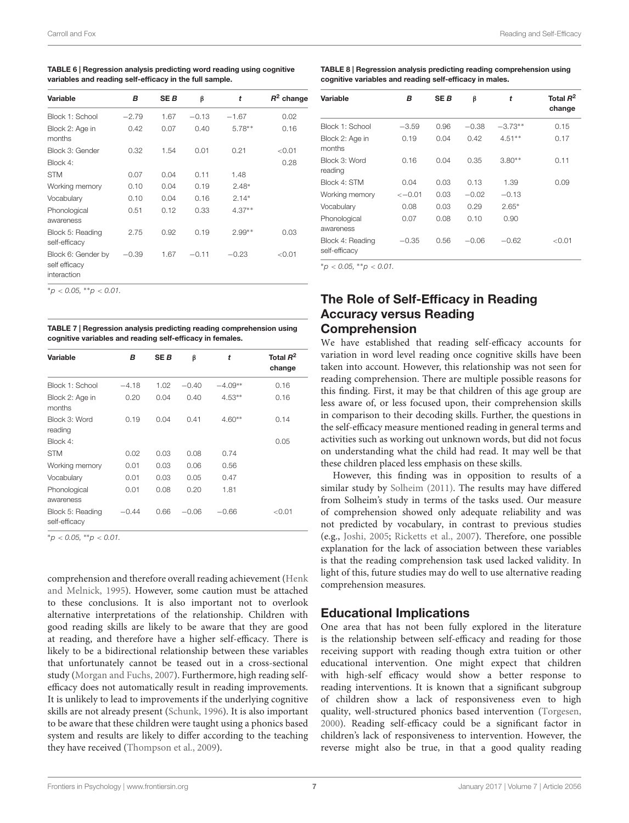<span id="page-7-0"></span>TABLE 6 | Regression analysis predicting word reading using cognitive variables and reading self-efficacy in the full sample.

| Variable                                           | в       | SE B | β       | t        | $R^2$ change |
|----------------------------------------------------|---------|------|---------|----------|--------------|
| Block 1: School                                    | $-2.79$ | 1.67 | $-0.13$ | $-1.67$  | 0.02         |
| Block 2: Age in<br>months                          | 0.42    | 0.07 | 0.40    | $5.78**$ | 0.16         |
| Block 3: Gender                                    | 0.32    | 1.54 | 0.01    | 0.21     | < 0.01       |
| Block 4:                                           |         |      |         |          | 0.28         |
| <b>STM</b>                                         | 0.07    | 0.04 | 0.11    | 1.48     |              |
| Working memory                                     | 0.10    | 0.04 | 0.19    | $2.48*$  |              |
| Vocabulary                                         | 0.10    | 0.04 | 0.16    | $2.14*$  |              |
| Phonological<br>awareness                          | 0.51    | 0.12 | 0.33    | $4.37**$ |              |
| Block 5: Reading<br>self-efficacy                  | 2.75    | 0.92 | 0.19    | $2.99**$ | 0.03         |
| Block 6: Gender by<br>self efficacy<br>interaction | $-0.39$ | 1.67 | $-0.11$ | $-0.23$  | < 0.01       |

 $*_{p}$  < 0.05,  $*_{p}$  < 0.01.

<span id="page-7-1"></span>TABLE 7 | Regression analysis predicting reading comprehension using cognitive variables and reading self-efficacy in females.

| Variable                          | В       | <b>SEB</b> | β       | t         | Total $R^2$<br>change |
|-----------------------------------|---------|------------|---------|-----------|-----------------------|
| Block 1: School                   | $-4.18$ | 1.02       | $-0.40$ | $-4.09**$ | 0.16                  |
| Block 2: Age in<br>months         | 0.20    | 0.04       | 0.40    | $4.53**$  | 0.16                  |
| Block 3: Word<br>reading          | 0.19    | 0.04       | 0.41    | $4.60**$  | 0.14                  |
| Block 4:                          |         |            |         |           | 0.05                  |
| <b>STM</b>                        | 0.02    | 0.03       | 0.08    | 0.74      |                       |
| Working memory                    | 0.01    | 0.03       | 0.06    | 0.56      |                       |
| Vocabulary                        | 0.01    | 0.03       | 0.05    | 0.47      |                       |
| Phonological<br>awareness         | 0.01    | 0.08       | 0.20    | 1.81      |                       |
| Block 5: Reading<br>self-efficacy | $-0.44$ | 0.66       | $-0.06$ | $-0.66$   | $<$ 0.01              |

 $*_{p}$  < 0.05,  $*_{p}$  < 0.01.

comprehension and therefore overall reading achievement [\(Henk](#page-8-5) [and Melnick,](#page-8-5) [1995\)](#page-8-5). However, some caution must be attached to these conclusions. It is also important not to overlook alternative interpretations of the relationship. Children with good reading skills are likely to be aware that they are good at reading, and therefore have a higher self-efficacy. There is likely to be a bidirectional relationship between these variables that unfortunately cannot be teased out in a cross-sectional study [\(Morgan and Fuchs,](#page-8-22) [2007\)](#page-8-22). Furthermore, high reading selfefficacy does not automatically result in reading improvements. It is unlikely to lead to improvements if the underlying cognitive skills are not already present [\(Schunk,](#page-9-1) [1996\)](#page-9-1). It is also important to be aware that these children were taught using a phonics based system and results are likely to differ according to the teaching they have received [\(Thompson et al.,](#page-9-20) [2009\)](#page-9-20).

<span id="page-7-2"></span>

| TABLE 8   Regression analysis predicting reading comprehension using |
|----------------------------------------------------------------------|
| cognitive variables and reading self-efficacy in males.              |

| Variable                          | в                 | <b>SEB</b> | β       | t         | Total $R^2$<br>change |
|-----------------------------------|-------------------|------------|---------|-----------|-----------------------|
| Block 1: School                   | $-3.59$           | 0.96       | $-0.38$ | $-3.73**$ | 0.15                  |
| Block 2: Age in<br>months         | 0.19              | 0.04       | 0.42    | $4.51**$  | 0.17                  |
| Block 3: Word<br>reading          | 0.16              | 0.04       | 0.35    | $3.80**$  | 0.11                  |
| Block 4: STM                      | 0.04              | 0.03       | 0.13    | 1.39      | 0.09                  |
| Working memory                    | $\leftarrow$ 0.01 | 0.03       | $-0.02$ | $-0.13$   |                       |
| Vocabulary                        | 0.08              | 0.03       | 0.29    | $2.65*$   |                       |
| Phonological<br>awareness         | 0.07              | 0.08       | 0.10    | 0.90      |                       |
| Block 4: Reading<br>self-efficacy | $-0.35$           | 0.56       | $-0.06$ | $-0.62$   | < 0.01                |

 $*_{\mathcal{D}}$  < 0.05,  $*_{\mathcal{D}}$  < 0.01.

## The Role of Self-Efficacy in Reading Accuracy versus Reading Comprehension

We have established that reading self-efficacy accounts for variation in word level reading once cognitive skills have been taken into account. However, this relationship was not seen for reading comprehension. There are multiple possible reasons for this finding. First, it may be that children of this age group are less aware of, or less focused upon, their comprehension skills in comparison to their decoding skills. Further, the questions in the self-efficacy measure mentioned reading in general terms and activities such as working out unknown words, but did not focus on understanding what the child had read. It may well be that these children placed less emphasis on these skills.

However, this finding was in opposition to results of a similar study by [Solheim](#page-9-11) [\(2011\)](#page-9-11). The results may have differed from Solheim's study in terms of the tasks used. Our measure of comprehension showed only adequate reliability and was not predicted by vocabulary, in contrast to previous studies (e.g., [Joshi,](#page-8-23) [2005;](#page-8-23) [Ricketts et al.,](#page-9-21) [2007\)](#page-9-21). Therefore, one possible explanation for the lack of association between these variables is that the reading comprehension task used lacked validity. In light of this, future studies may do well to use alternative reading comprehension measures.

## Educational Implications

One area that has not been fully explored in the literature is the relationship between self-efficacy and reading for those receiving support with reading though extra tuition or other educational intervention. One might expect that children with high-self efficacy would show a better response to reading interventions. It is known that a significant subgroup of children show a lack of responsiveness even to high quality, well-structured phonics based intervention [\(Torgesen,](#page-9-22) [2000\)](#page-9-22). Reading self-efficacy could be a significant factor in children's lack of responsiveness to intervention. However, the reverse might also be true, in that a good quality reading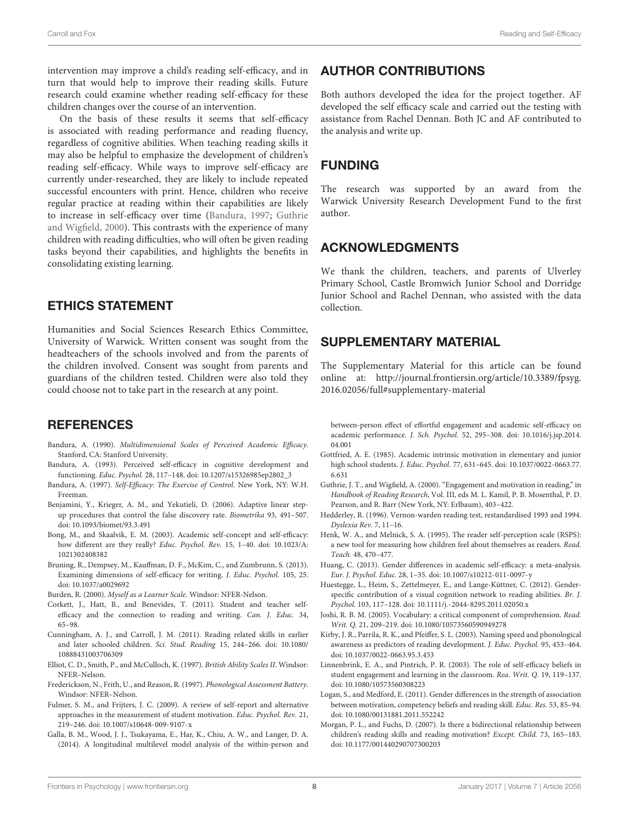intervention may improve a child's reading self-efficacy, and in turn that would help to improve their reading skills. Future research could examine whether reading self-efficacy for these children changes over the course of an intervention.

On the basis of these results it seems that self-efficacy is associated with reading performance and reading fluency, regardless of cognitive abilities. When teaching reading skills it may also be helpful to emphasize the development of children's reading self-efficacy. While ways to improve self-efficacy are currently under-researched, they are likely to include repeated successful encounters with print. Hence, children who receive regular practice at reading within their capabilities are likely to increase in self-efficacy over time [\(Bandura,](#page-8-3) [1997;](#page-8-3) [Guthrie](#page-8-1) [and Wigfield,](#page-8-1) [2000\)](#page-8-1). This contrasts with the experience of many children with reading difficulties, who will often be given reading tasks beyond their capabilities, and highlights the benefits in consolidating existing learning.

## ETHICS STATEMENT

Humanities and Social Sciences Research Ethics Committee, University of Warwick. Written consent was sought from the headteachers of the schools involved and from the parents of the children involved. Consent was sought from parents and guardians of the children tested. Children were also told they could choose not to take part in the research at any point.

## **REFERENCES**

- <span id="page-8-7"></span>Bandura, A. (1990). Multidimensional Scales of Perceived Academic Efficacy. Stanford, CA: Stanford University.
- <span id="page-8-2"></span>Bandura, A. (1993). Perceived self-efficacy in cognitive development and functioning. Educ. Psychol. 28, 117–148. [doi: 10.1207/s15326985ep2802\\_3](https://doi.org/10.1207/s15326985ep2802_3)
- <span id="page-8-3"></span>Bandura, A. (1997). Self-Efficacy: The Exercise of Control. New York, NY: W.H. Freeman.
- <span id="page-8-21"></span>Benjamini, Y., Krieger, A. M., and Yekutieli, D. (2006). Adaptive linear stepup procedures that control the false discovery rate. Biometrika 93, 491–507. [doi: 10.1093/biomet/93.3.491](https://doi.org/10.1093/biomet/93.3.491)
- <span id="page-8-6"></span>Bong, M., and Skaalvik, E. M. (2003). Academic self-concept and self-efficacy: how different are they really? Educ. Psychol. Rev. 15, 1–40. [doi: 10.1023/A:](https://doi.org/10.1023/A:1021302408382) [1021302408382](https://doi.org/10.1023/A:1021302408382)
- <span id="page-8-10"></span>Bruning, R., Dempsey, M., Kauffman, D. F., McKim, C., and Zumbrunn, S. (2013). Examining dimensions of self-efficacy for writing. J. Educ. Psychol. 105, 25. [doi: 10.1037/a0029692](https://doi.org/10.1037/a0029692)
- <span id="page-8-8"></span>Burden, R. (2000). Myself as a Learner Scale. Windsor: NFER-Nelson.
- <span id="page-8-11"></span>Corkett, J., Hatt, B., and Benevides, T. (2011). Student and teacher selfefficacy and the connection to reading and writing. Can. J. Educ. 34, 65–98.
- <span id="page-8-12"></span>Cunningham, A. J., and Carroll, J. M. (2011). Reading related skills in earlier and later schooled children. Sci. Stud. Reading 15, 244–266. [doi: 10.1080/](https://doi.org/10.1080/10888431003706309) [10888431003706309](https://doi.org/10.1080/10888431003706309)
- <span id="page-8-19"></span>Elliot, C. D., Smith, P., and McCulloch, K. (1997). British Ability Scales II. Windsor: NFER–Nelson.
- <span id="page-8-20"></span>Frederickson, N., Frith, U., and Reason, R. (1997). Phonological Assessment Battery. Windsor: NFER–Nelson.
- <span id="page-8-17"></span>Fulmer, S. M., and Frijters, J. C. (2009). A review of self-report and alternative approaches in the measurement of student motivation. Educ. Psychol. Rev. 21, 219–246. [doi: 10.1007/s10648-009-9107-x](https://doi.org/10.1007/s10648-009-9107-x)
- <span id="page-8-9"></span>Galla, B. M., Wood, J. J., Tsukayama, E., Har, K., Chiu, A. W., and Langer, D. A. (2014). A longitudinal multilevel model analysis of the within-person and

## AUTHOR CONTRIBUTIONS

Both authors developed the idea for the project together. AF developed the self efficacy scale and carried out the testing with assistance from Rachel Dennan. Both JC and AF contributed to the analysis and write up.

## FUNDING

The research was supported by an award from the Warwick University Research Development Fund to the first author.

## ACKNOWLEDGMENTS

We thank the children, teachers, and parents of Ulverley Primary School, Castle Bromwich Junior School and Dorridge Junior School and Rachel Dennan, who assisted with the data collection.

## SUPPLEMENTARY MATERIAL

The Supplementary Material for this article can be found online at: [http://journal.frontiersin.org/article/10.3389/fpsyg.](http://journal.frontiersin.org/article/10.3389/fpsyg.2016.02056/full#supplementary-material) [2016.02056/full#supplementary-material](http://journal.frontiersin.org/article/10.3389/fpsyg.2016.02056/full#supplementary-material)

between-person effect of effortful engagement and academic self-efficacy on academic performance. J. Sch. Psychol. 52, 295–308. [doi: 10.1016/j.jsp.2014.](https://doi.org/10.1016/j.jsp.2014.04.001) [04.001](https://doi.org/10.1016/j.jsp.2014.04.001)

- <span id="page-8-0"></span>Gottfried, A. E. (1985). Academic intrinsic motivation in elementary and junior high school students. J. Educ. Psychol. 77, 631–645. [doi: 10.1037/0022-0663.77.](https://doi.org/10.1037/0022-0663.77.6.631) [6.631](https://doi.org/10.1037/0022-0663.77.6.631)
- <span id="page-8-1"></span>Guthrie, J. T., and Wigfield, A. (2000). "Engagement and motivation in reading," in Handbook of Reading Research, Vol. III, eds M. L. Kamil, P. B. Mosenthal, P. D. Pearson, and R. Barr (New York, NY: Erlbaum), 403–422.
- <span id="page-8-18"></span>Hedderley, R. (1996). Vernon-warden reading test, restandardised 1993 and 1994. Dyslexia Rev. 7, 11–16.
- <span id="page-8-5"></span>Henk, W. A., and Melnick, S. A. (1995). The reader self-perception scale (RSPS): a new tool for measuring how children feel about themselves as readers. Read. Teach. 48, 470–477.
- <span id="page-8-15"></span>Huang, C. (2013). Gender differences in academic self-efficacy: a meta-analysis. Eur. J. Psychol. Educ. 28, 1–35. [doi: 10.1007/s10212-011-0097-y](https://doi.org/10.1007/s10212-011-0097-y)
- <span id="page-8-16"></span>Huestegge, L., Heim, S., Zettelmeyer, E., and Lange-Küttner, C. (2012). Genderspecific contribution of a visual cognition network to reading abilities. Br. J. Psychol. 103, 117–128. [doi: 10.1111/j.-2044-8295.2011.02050.x](https://doi.org/10.1111/j.-2044-8295.2011.02050.x)
- <span id="page-8-23"></span>Joshi, R. B. M. (2005). Vocabulary: a critical component of comprehension. Read. Writ. Q. 21, 209–219. [doi: 10.1080/10573560590949278](https://doi.org/10.1080/10573560590949278)
- <span id="page-8-13"></span>Kirby, J. R., Parrila, R. K., and Pfeiffer, S. L. (2003). Naming speed and phonological awareness as predictors of reading development. J. Educ. Psychol. 95, 453–464. [doi: 10.1037/0022-0663.95.3.453](https://doi.org/10.1037/0022-0663.95.3.453)
- <span id="page-8-4"></span>Linnenbrink, E. A., and Pintrich, P. R. (2003). The role of self-efficacy beliefs in student engagement and learning in the classroom. Rea. Writ. Q. 19, 119–137. [doi: 10.1080/10573560308223](https://doi.org/10.1080/10573560308223)
- <span id="page-8-14"></span>Logan, S., and Medford, E. (2011). Gender differences in the strength of association between motivation, competency beliefs and reading skill. Educ. Res. 53, 85–94. [doi: 10.1080/00131881.2011.552242](https://doi.org/10.1080/00131881.2011.552242)
- <span id="page-8-22"></span>Morgan, P. L., and Fuchs, D. (2007). Is there a bidirectional relationship between children's reading skills and reading motivation? Except. Child. 73, 165–183. [doi: 10.1177/001440290707300203](https://doi.org/10.1177/001440290707300203)